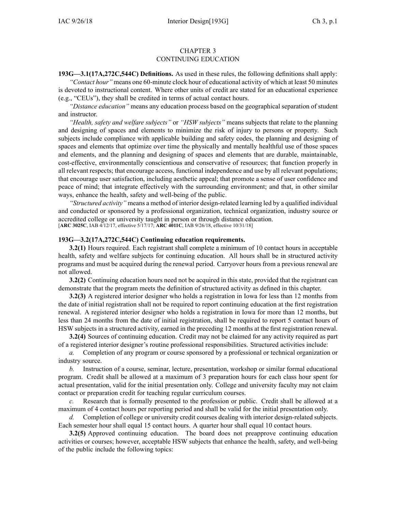## CHAPTER 3 CONTINUING EDUCATION

**193G—3.1(17A,272C,544C) Definitions.** As used in these rules, the following definitions shall apply: *"Contact hour"* means one 60-minute clock hour of educational activity of which at least 50 minutes is devoted to instructional content. Where other units of credit are stated for an educational experience (e.g., "CEUs"), they shall be credited in terms of actual contact hours.

*"Distance education"* means any education process based on the geographical separation of student and instructor.

*"Health, safety and welfare subjects"* or *"HSW subjects"* means subjects that relate to the planning and designing of spaces and elements to minimize the risk of injury to persons or property. Such subjects include compliance with applicable building and safety codes, the planning and designing of spaces and elements that optimize over time the physically and mentally healthful use of those spaces and elements, and the planning and designing of spaces and elements that are durable, maintainable, cost-effective, environmentally conscientious and conservative of resources; that function properly in all relevant respects; that encourage access, functional independence and use by all relevant populations; that encourage user satisfaction, including aesthetic appeal; that promote <sup>a</sup> sense of user confidence and peace of mind; that integrate effectively with the surrounding environment; and that, in other similar ways, enhance the health, safety and well-being of the public.

*"Structured activity"* means <sup>a</sup> method of interior design-related learning led by <sup>a</sup> qualified individual and conducted or sponsored by <sup>a</sup> professional organization, technical organization, industry source or accredited college or university taught in person or through distance education. [**ARC [3025C](https://www.legis.iowa.gov/docs/aco/arc/3025C.pdf)**, IAB 4/12/17, effective 5/17/17; **ARC [4011C](https://www.legis.iowa.gov/docs/aco/arc/4011C.pdf)**, IAB 9/26/18, effective 10/31/18]

## **193G—3.2(17A,272C,544C) Continuing education requirements.**

**3.2(1)** Hours required. Each registrant shall complete <sup>a</sup> minimum of 10 contact hours in acceptable health, safety and welfare subjects for continuing education. All hours shall be in structured activity programs and must be acquired during the renewal period. Carryover hours from <sup>a</sup> previous renewal are not allowed.

**3.2(2)** Continuing education hours need not be acquired in this state, provided that the registrant can demonstrate that the program meets the definition of structured activity as defined in this chapter.

**3.2(3)** A registered interior designer who holds <sup>a</sup> registration in Iowa for less than 12 months from the date of initial registration shall not be required to repor<sup>t</sup> continuing education at the first registration renewal. A registered interior designer who holds <sup>a</sup> registration in Iowa for more than 12 months, but less than 24 months from the date of initial registration, shall be required to repor<sup>t</sup> 5 contact hours of HSW subjects in <sup>a</sup> structured activity, earned in the preceding 12 months at the first registration renewal.

**3.2(4)** Sources of continuing education. Credit may not be claimed for any activity required as par<sup>t</sup> of <sup>a</sup> registered interior designer's routine professional responsibilities. Structured activities include:

*a.* Completion of any program or course sponsored by <sup>a</sup> professional or technical organization or industry source.

*b.* Instruction of <sup>a</sup> course, seminar, lecture, presentation, workshop or similar formal educational program. Credit shall be allowed at <sup>a</sup> maximum of 3 preparation hours for each class hour spen<sup>t</sup> for actual presentation, valid for the initial presentation only. College and university faculty may not claim contact or preparation credit for teaching regular curriculum courses.

*c.* Research that is formally presented to the profession or public. Credit shall be allowed at <sup>a</sup> maximum of 4 contact hours per reporting period and shall be valid for the initial presentation only.

*d.* Completion of college or university credit courses dealing with interior design-related subjects. Each semester hour shall equal 15 contact hours. A quarter hour shall equal 10 contact hours.

**3.2(5)** Approved continuing education. The board does not preapprove continuing education activities or courses; however, acceptable HSW subjects that enhance the health, safety, and well-being of the public include the following topics: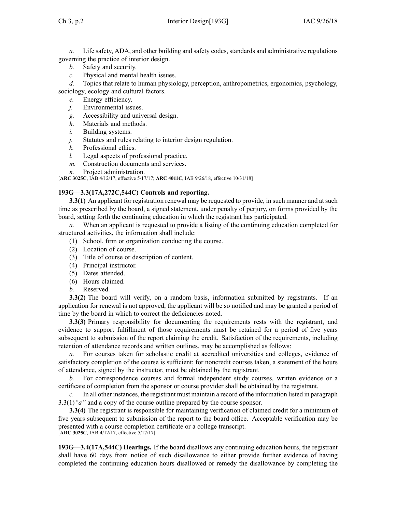*a.* Life safety, ADA, and other building and safety codes, standards and administrative regulations governing the practice of interior design.

- *b.* Safety and security.
- *c.* Physical and mental health issues.

*d.* Topics that relate to human physiology, perception, anthropometrics, ergonomics, psychology,

sociology, ecology and cultural factors.

- *e.* Energy efficiency.
- *f.* Environmental issues.
- *g.* Accessibility and universal design.
- *h.* Materials and methods.
- *i.* Building systems.
- *j.* Statutes and rules relating to interior design regulation.
- *k.* Professional ethics.
- *l.* Legal aspects of professional practice.
- *m.* Construction documents and services.
- *n.* Project administration.

[**ARC [3025C](https://www.legis.iowa.gov/docs/aco/arc/3025C.pdf)**, IAB 4/12/17, effective 5/17/17; **ARC [4011C](https://www.legis.iowa.gov/docs/aco/arc/4011C.pdf)**, IAB 9/26/18, effective 10/31/18]

## **193G—3.3(17A,272C,544C) Controls and reporting.**

**3.3(1)** An applicant for registration renewal may be requested to provide, in such manner and at such time as prescribed by the board, <sup>a</sup> signed statement, under penalty of perjury, on forms provided by the board, setting forth the continuing education in which the registrant has participated.

*a.* When an applicant is requested to provide <sup>a</sup> listing of the continuing education completed for structured activities, the information shall include:

- (1) School, firm or organization conducting the course.
- (2) Location of course.
- (3) Title of course or description of content.
- (4) Principal instructor.
- (5) Dates attended.
- (6) Hours claimed.
- *b.* Reserved.

**3.3(2)** The board will verify, on a random basis, information submitted by registrants. If an application for renewal is not approved, the applicant will be so notified and may be granted <sup>a</sup> period of time by the board in which to correct the deficiencies noted.

**3.3(3)** Primary responsibility for documenting the requirements rests with the registrant, and evidence to suppor<sup>t</sup> fulfillment of those requirements must be retained for <sup>a</sup> period of five years subsequent to submission of the repor<sup>t</sup> claiming the credit. Satisfaction of the requirements, including retention of attendance records and written outlines, may be accomplished as follows:

For courses taken for scholastic credit at accredited universities and colleges, evidence of satisfactory completion of the course is sufficient; for noncredit courses taken, <sup>a</sup> statement of the hours of attendance, signed by the instructor, must be obtained by the registrant.

*b.* For correspondence courses and formal independent study courses, written evidence or <sup>a</sup> certificate of completion from the sponsor or course provider shall be obtained by the registrant.

*c.* In all other instances, the registrant must maintain <sup>a</sup> record of the information listed in paragraph [3.3\(1\)](https://www.legis.iowa.gov/docs/iac/rule/193G.3.3.pdf)*"a"* and <sup>a</sup> copy of the course outline prepared by the course sponsor.

**3.3(4)** The registrant is responsible for maintaining verification of claimed credit for <sup>a</sup> minimum of five years subsequent to submission of the repor<sup>t</sup> to the board office. Acceptable verification may be presented with <sup>a</sup> course completion certificate or <sup>a</sup> college transcript. [**ARC [3025C](https://www.legis.iowa.gov/docs/aco/arc/3025C.pdf)**, IAB 4/12/17, effective 5/17/17]

**193G—3.4(17A,544C) Hearings.** If the board disallows any continuing education hours, the registrant shall have 60 days from notice of such disallowance to either provide further evidence of having completed the continuing education hours disallowed or remedy the disallowance by completing the